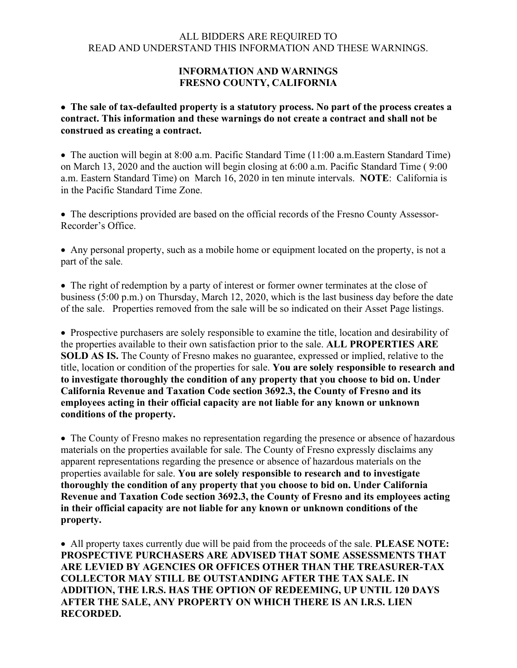## ALL BIDDERS ARE REQUIRED TO READ AND UNDERSTAND THIS INFORMATION AND THESE WARNINGS.

## **INFORMATION AND WARNINGS FRESNO COUNTY, CALIFORNIA**

• **The sale of tax-defaulted property is a statutory process. No part of the process creates a contract. This information and these warnings do not create a contract and shall not be construed as creating a contract.**

• The auction will begin at 8:00 a.m. Pacific Standard Time (11:00 a.m.Eastern Standard Time) on March 13, 2020 and the auction will begin closing at 6:00 a.m. Pacific Standard Time ( 9:00 a.m. Eastern Standard Time) on March 16, 2020 in ten minute intervals. **NOTE**: California is in the Pacific Standard Time Zone.

• The descriptions provided are based on the official records of the Fresno County Assessor-Recorder's Office.

• Any personal property, such as a mobile home or equipment located on the property, is not a part of the sale.

• The right of redemption by a party of interest or former owner terminates at the close of business (5:00 p.m.) on Thursday, March 12, 2020, which is the last business day before the date of the sale. Properties removed from the sale will be so indicated on their Asset Page listings.

• Prospective purchasers are solely responsible to examine the title, location and desirability of the properties available to their own satisfaction prior to the sale. **ALL PROPERTIES ARE SOLD AS IS.** The County of Fresno makes no guarantee, expressed or implied, relative to the title, location or condition of the properties for sale. **You are solely responsible to research and to investigate thoroughly the condition of any property that you choose to bid on. Under California Revenue and Taxation Code section 3692.3, the County of Fresno and its employees acting in their official capacity are not liable for any known or unknown conditions of the property.**

• The County of Fresno makes no representation regarding the presence or absence of hazardous materials on the properties available for sale. The County of Fresno expressly disclaims any apparent representations regarding the presence or absence of hazardous materials on the properties available for sale. **You are solely responsible to research and to investigate thoroughly the condition of any property that you choose to bid on. Under California Revenue and Taxation Code section 3692.3, the County of Fresno and its employees acting in their official capacity are not liable for any known or unknown conditions of the property.**

• All property taxes currently due will be paid from the proceeds of the sale. **PLEASE NOTE: PROSPECTIVE PURCHASERS ARE ADVISED THAT SOME ASSESSMENTS THAT ARE LEVIED BY AGENCIES OR OFFICES OTHER THAN THE TREASURER-TAX COLLECTOR MAY STILL BE OUTSTANDING AFTER THE TAX SALE. IN ADDITION, THE I.R.S. HAS THE OPTION OF REDEEMING, UP UNTIL 120 DAYS AFTER THE SALE, ANY PROPERTY ON WHICH THERE IS AN I.R.S. LIEN RECORDED.**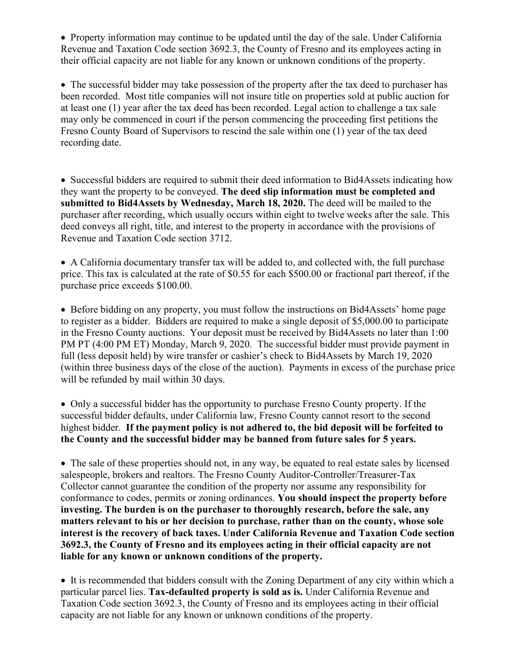• Property information may continue to be updated until the day of the sale. Under California Revenue and Taxation Code section 3692.3, the County of Fresno and its employees acting in their official capacity are not liable for any known or unknown conditions of the property.

• The successful bidder may take possession of the property after the tax deed to purchaser has been recorded. Most title companies will not insure title on properties sold at public auction for at least one (1) year after the tax deed has been recorded. Legal action to challenge a tax sale may only be commenced in court if the person commencing the proceeding first petitions the Fresno County Board of Supervisors to rescind the sale within one (1) year of the tax deed recording date.

• Successful bidders are required to submit their deed information to Bid4Assets indicating how they want the property to be conveyed. **The deed slip information must be completed and submitted to Bid4Assets by Wednesday, March 18, 2020.** The deed will be mailed to the purchaser after recording, which usually occurs within eight to twelve weeks after the sale. This deed conveys all right, title, and interest to the property in accordance with the provisions of Revenue and Taxation Code section 3712.

• A California documentary transfer tax will be added to, and collected with, the full purchase price. This tax is calculated at the rate of \$0.55 for each \$500.00 or fractional part thereof, if the purchase price exceeds \$100.00.

• Before bidding on any property, you must follow the instructions on Bid4Assets' home page to register as a bidder. Bidders are required to make a single deposit of \$5,000.00 to participate in the Fresno County auctions. Your deposit must be received by Bid4Assets no later than 1:00 PM PT (4:00 PM ET) Monday, March 9, 2020. The successful bidder must provide payment in full (less deposit held) by wire transfer or cashier's check to Bid4Assets by March 19, 2020 (within three business days of the close of the auction). Payments in excess of the purchase price will be refunded by mail within 30 days.

• Only a successful bidder has the opportunity to purchase Fresno County property. If the successful bidder defaults, under California law, Fresno County cannot resort to the second highest bidder. **If the payment policy is not adhered to, the bid deposit will be forfeited to the County and the successful bidder may be banned from future sales for 5 years.**

• The sale of these properties should not, in any way, be equated to real estate sales by licensed salespeople, brokers and realtors. The Fresno County Auditor-Controller/Treasurer-Tax Collector cannot guarantee the condition of the property nor assume any responsibility for conformance to codes, permits or zoning ordinances. **You should inspect the property before investing. The burden is on the purchaser to thoroughly research, before the sale, any matters relevant to his or her decision to purchase, rather than on the county, whose sole interest is the recovery of back taxes. Under California Revenue and Taxation Code section 3692.3, the County of Fresno and its employees acting in their official capacity are not liable for any known or unknown conditions of the property.**

• It is recommended that bidders consult with the Zoning Department of any city within which a particular parcel lies. **Tax-defaulted property is sold as is.** Under California Revenue and Taxation Code section 3692.3, the County of Fresno and its employees acting in their official capacity are not liable for any known or unknown conditions of the property.